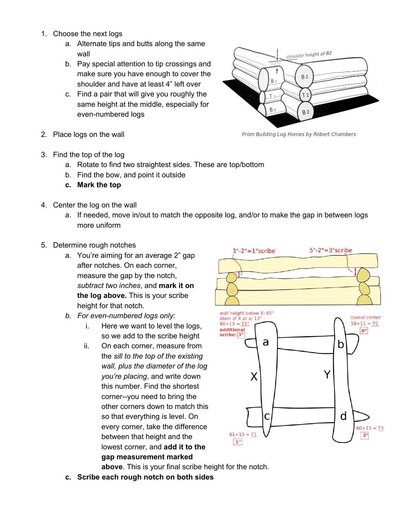- 1. Choose the next logs
	- a. Alternate tips and butts along the same wall
	- b. Pay special attention to tip crossings and make sure you have enough to cover the shoulder and have at least 4" left over
	- c. Find a pair that will give you roughly the same height at the middle, especially for even-numbered logs
- 2. Place logs on the wall



From Building Log Homes by Robert Chambers

- 3. Find the top of the log
	- a. Rotate to find two straightest sides. These are top/bottom
	- b. Find the bow, and point it outside
	- **c. Mark the top**
- 4. Center the log on the wall
	- a. If needed, move in/out to match the opposite log, and/or to make the gap in between logs more uniform
- 5. Determine rough notches
	- a. You're aiming for an average 2" gap after notches. On each corner, measure the gap by the notch, *subtract two inches*, and **mark it on the log above.** This is your scribe height for that notch.
	- *b. For even-numbered logs only:*
		- i. Here we want to level the logs, so we add to the scribe height
		- ii. On each corner, measure from the *sill to the top of the existing wall, plus the diameter of the log you're placing*, and write down this number. Find the shortest corner--you need to bring the other corners down to match this so that everything is level. On every corner, take the difference between that height and the lowest corner, and **add it to the gap measurement marked**



**above**. This is your final scribe height for the notch.

**c. Scribe each rough notch on both sides**